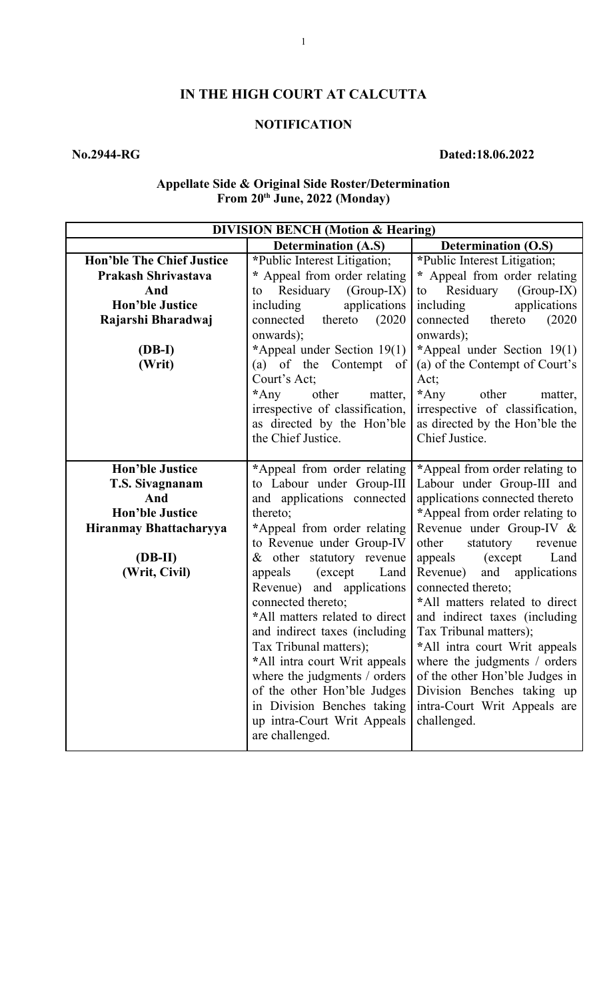# **IN THE HIGH COURT AT CALCUTTA**

## **NOTIFICATION**

# **No.2944-RG Dated:18.06.2022**

### **Appellate Side & Original Side Roster/Determination From 20th June, 2022 (Monday)**

| <b>DIVISION BENCH (Motion &amp; Hearing)</b> |                                 |                                 |
|----------------------------------------------|---------------------------------|---------------------------------|
|                                              | <b>Determination (A.S)</b>      | <b>Determination (O.S)</b>      |
| <b>Hon'ble The Chief Justice</b>             | *Public Interest Litigation;    | *Public Interest Litigation;    |
| Prakash Shrivastava                          | * Appeal from order relating    | * Appeal from order relating    |
| And                                          | Residuary<br>$(Group-IX)$<br>to | Residuary<br>$(Group-IX)$<br>to |
| <b>Hon'ble Justice</b>                       | applications<br>including       | applications<br>including       |
| Rajarshi Bharadwaj                           | thereto<br>(2020)<br>connected  | thereto<br>(2020)<br>connected  |
|                                              | onwards);                       | onwards);                       |
| (DB-I)                                       | *Appeal under Section 19(1)     | *Appeal under Section 19(1)     |
| (Writ)                                       | (a) of the Contempt of          | (a) of the Contempt of Court's  |
|                                              | Court's Act;                    | Act;                            |
|                                              | $*$ Any<br>other<br>matter,     | $*$ Any<br>other<br>matter,     |
|                                              | irrespective of classification, | irrespective of classification, |
|                                              | as directed by the Hon'ble      | as directed by the Hon'ble the  |
|                                              | the Chief Justice.              | Chief Justice.                  |
|                                              |                                 |                                 |
| <b>Hon'ble Justice</b>                       | *Appeal from order relating     | *Appeal from order relating to  |
| T.S. Sivagnanam                              | to Labour under Group-III       | Labour under Group-III and      |
| And                                          | and applications connected      | applications connected thereto  |
| <b>Hon'ble Justice</b>                       | thereto;                        | *Appeal from order relating to  |
| Hiranmay Bhattacharyya                       | *Appeal from order relating     | Revenue under Group-IV &        |
|                                              | to Revenue under Group-IV       | other<br>statutory<br>revenue   |
| $(DB-II)$                                    | $& other$ statutory revenue     | (except<br>Land<br>appeals      |
| (Writ, Civil)                                | (except<br>Land<br>appeals      | Revenue) and applications       |
|                                              | Revenue) and applications       | connected thereto;              |
|                                              | connected thereto;              | *All matters related to direct  |
|                                              | *All matters related to direct  | and indirect taxes (including   |
|                                              | and indirect taxes (including   | Tax Tribunal matters);          |
|                                              | Tax Tribunal matters);          | *All intra court Writ appeals   |
|                                              | *All intra court Writ appeals   | where the judgments / orders    |
|                                              | where the judgments / orders    | of the other Hon'ble Judges in  |
|                                              | of the other Hon'ble Judges     | Division Benches taking up      |
|                                              | in Division Benches taking      | intra-Court Writ Appeals are    |
|                                              | up intra-Court Writ Appeals     | challenged.                     |
|                                              | are challenged.                 |                                 |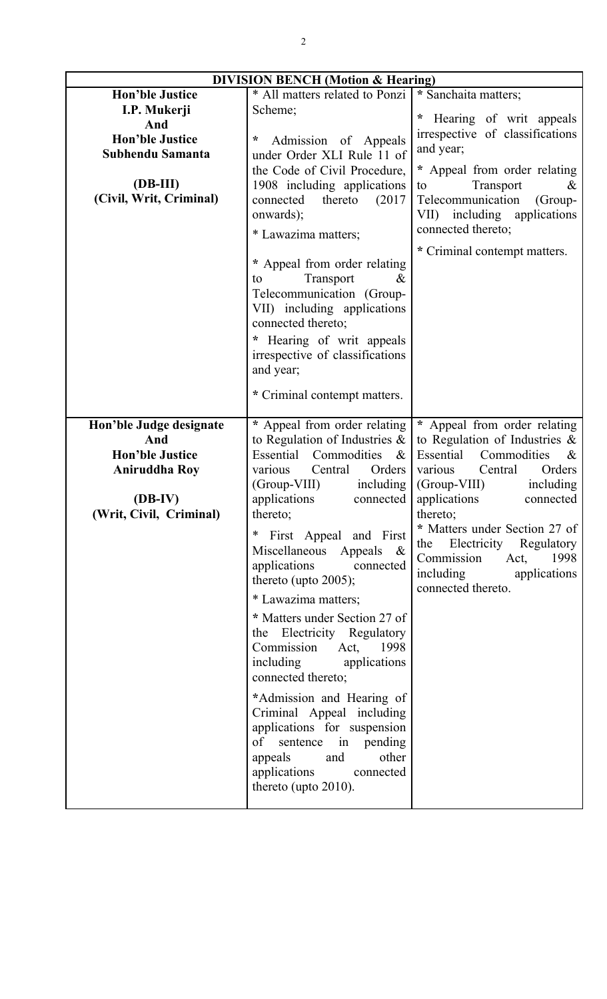| <b>DIVISION BENCH</b> (Motion & Hearing) |                                                   |                                  |
|------------------------------------------|---------------------------------------------------|----------------------------------|
| <b>Hon'ble Justice</b>                   | * All matters related to Ponzi                    | * Sanchaita matters;             |
| I.P. Mukerji                             | Scheme:                                           |                                  |
| And                                      |                                                   | * Hearing of writ appeals        |
| <b>Hon'ble Justice</b>                   | *<br>Admission of Appeals                         | irrespective of classifications  |
| Subhendu Samanta                         | under Order XLI Rule 11 of                        | and year;                        |
|                                          | the Code of Civil Procedure,                      | * Appeal from order relating     |
| $(DB-III)$                               | 1908 including applications                       | Transport<br>$\&$<br>to          |
| (Civil, Writ, Criminal)                  | thereto<br>(2017)<br>connected                    | Telecommunication<br>(Group-     |
|                                          | onwards);                                         | VII) including applications      |
|                                          | * Lawazima matters;                               | connected thereto;               |
|                                          |                                                   | * Criminal contempt matters.     |
|                                          | * Appeal from order relating                      |                                  |
|                                          | Transport<br>&<br>to                              |                                  |
|                                          | Telecommunication (Group-                         |                                  |
|                                          | VII) including applications                       |                                  |
|                                          | connected thereto;                                |                                  |
|                                          | * Hearing of writ appeals                         |                                  |
|                                          | irrespective of classifications                   |                                  |
|                                          | and year;                                         |                                  |
|                                          |                                                   |                                  |
|                                          | * Criminal contempt matters.                      |                                  |
|                                          |                                                   |                                  |
| Hon'ble Judge designate                  | * Appeal from order relating                      | * Appeal from order relating     |
| And                                      | to Regulation of Industries $\&$                  | to Regulation of Industries $\&$ |
| <b>Hon'ble Justice</b>                   | Essential<br>Commodities<br>$\&$                  | Essential<br>Commodities<br>$\&$ |
| <b>Aniruddha Roy</b>                     | Central<br>Orders<br>various                      | Orders<br>various<br>Central     |
|                                          | (Group-VIII)<br>including                         | $(Group-VIII)$<br>including      |
| $(DB-IV)$                                | applications<br>connected                         | applications<br>connected        |
| (Writ, Civil, Criminal)                  | thereto;                                          | thereto;                         |
|                                          | * First Appeal and First                          | * Matters under Section 27 of    |
|                                          | Miscellaneous Appeals &                           | the Electricity Regulatory       |
|                                          | applications connected                            | Commission Act,<br>1998          |
|                                          | thereto (upto $2005$ );                           | including applications           |
|                                          | * Lawazima matters;                               | connected thereto.               |
|                                          | * Matters under Section 27 of                     |                                  |
|                                          | the Electricity Regulatory                        |                                  |
|                                          | Commission Act, 1998                              |                                  |
|                                          | including                                         |                                  |
|                                          | applications<br>connected thereto;                |                                  |
|                                          |                                                   |                                  |
|                                          | *Admission and Hearing of                         |                                  |
|                                          | Criminal Appeal including                         |                                  |
|                                          | applications for suspension                       |                                  |
|                                          | of sentence in pending                            |                                  |
|                                          | and<br>other<br>appeals<br>applications connected |                                  |
|                                          |                                                   |                                  |
|                                          |                                                   |                                  |
|                                          | thereto (upto $2010$ ).                           |                                  |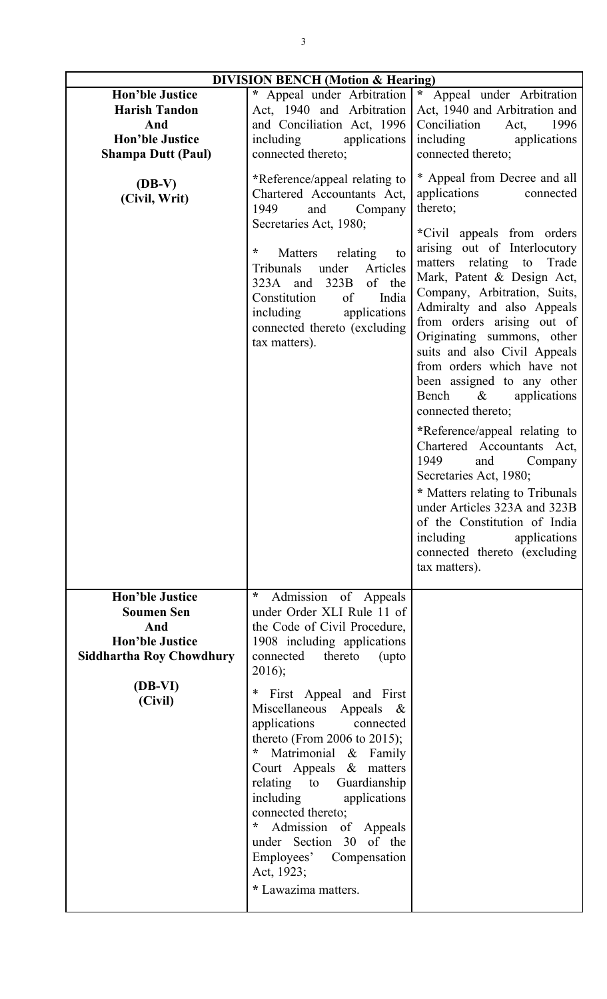| <b>DIVISION BENCH (Motion &amp; Hearing)</b>                                                                                              |                                                                                                                                                                                                                                                                                                                                                                                                                                                                                                                                                                           |                                                                                                                                                                                                                                                                                                                                                                                                                                                                                                                                                                                                                                                                                                                                                                                                                                                                                                                                      |
|-------------------------------------------------------------------------------------------------------------------------------------------|---------------------------------------------------------------------------------------------------------------------------------------------------------------------------------------------------------------------------------------------------------------------------------------------------------------------------------------------------------------------------------------------------------------------------------------------------------------------------------------------------------------------------------------------------------------------------|--------------------------------------------------------------------------------------------------------------------------------------------------------------------------------------------------------------------------------------------------------------------------------------------------------------------------------------------------------------------------------------------------------------------------------------------------------------------------------------------------------------------------------------------------------------------------------------------------------------------------------------------------------------------------------------------------------------------------------------------------------------------------------------------------------------------------------------------------------------------------------------------------------------------------------------|
| <b>Hon'ble Justice</b><br><b>Harish Tandon</b><br>And<br><b>Hon'ble Justice</b><br><b>Shampa Dutt (Paul)</b><br>$(DB-V)$<br>(Civil, Writ) | * Appeal under Arbitration<br>Act, 1940 and Arbitration<br>and Conciliation Act, 1996<br>including<br>applications<br>connected thereto;<br>*Reference/appeal relating to<br>Chartered Accountants Act,<br>1949<br>Company<br>and<br>Secretaries Act, 1980;<br>*<br>relating<br>Matters<br>to<br>Tribunals<br>under<br>Articles<br>of the<br>323B<br>323A and<br>of<br>India<br>Constitution<br>including<br>applications<br>connected thereto (excluding<br>tax matters).                                                                                                | $\star$<br>Appeal under Arbitration<br>Act, 1940 and Arbitration and<br>Conciliation<br>1996<br>Act,<br>including<br>applications<br>connected thereto;<br>* Appeal from Decree and all<br>applications<br>connected<br>thereto;<br>*Civil appeals from orders<br>arising out of Interlocutory<br>matters relating to<br>Trade<br>Mark, Patent & Design Act,<br>Company, Arbitration, Suits,<br>Admiralty and also Appeals<br>from orders arising out of<br>Originating summons, other<br>suits and also Civil Appeals<br>from orders which have not<br>been assigned to any other<br>Bench & applications<br>connected thereto;<br>*Reference/appeal relating to<br>Chartered Accountants Act,<br>1949<br>Company<br>and<br>Secretaries Act, 1980;<br>* Matters relating to Tribunals<br>under Articles 323A and 323B<br>of the Constitution of India<br>including<br>applications<br>connected thereto (excluding<br>tax matters). |
| <b>Hon'ble Justice</b><br><b>Soumen Sen</b><br>And<br><b>Hon'ble Justice</b><br><b>Siddhartha Roy Chowdhury</b><br>(DB-VI)<br>(Civil)     | $\ast$<br>Admission of Appeals<br>under Order XLI Rule 11 of<br>the Code of Civil Procedure,<br>1908 including applications<br>connected<br>thereto<br>(upto<br>$2016$ ;<br>First Appeal and First<br>$\ast$<br>Miscellaneous Appeals<br>&<br>applications<br>connected<br>thereto (From 2006 to 2015);<br>Matrimonial & Family<br>*<br>Court Appeals & matters<br>Guardianship<br>relating to<br>including<br>applications<br>connected thereto;<br>÷<br>Admission of Appeals<br>under Section 30 of the<br>Employees' Compensation<br>Act, 1923;<br>* Lawazima matters. |                                                                                                                                                                                                                                                                                                                                                                                                                                                                                                                                                                                                                                                                                                                                                                                                                                                                                                                                      |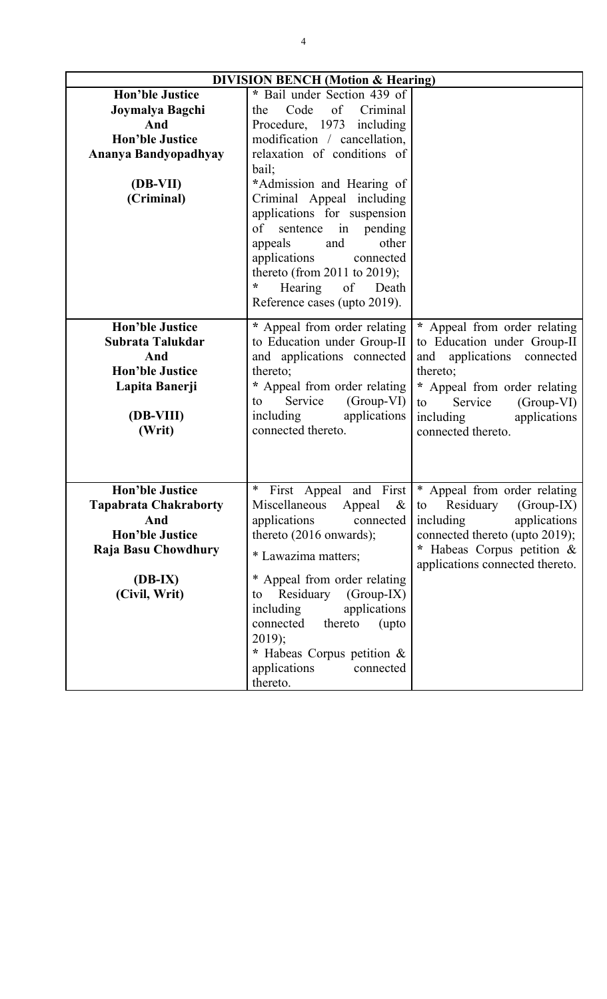| <b>DIVISION BENCH (Motion &amp; Hearing)</b> |                                     |                                               |
|----------------------------------------------|-------------------------------------|-----------------------------------------------|
| <b>Hon'ble Justice</b>                       | * Bail under Section 439 of         |                                               |
| Joymalya Bagchi                              | Code<br>of<br>Criminal<br>the       |                                               |
| And                                          | Procedure, 1973 including           |                                               |
| <b>Hon'ble Justice</b>                       | modification / cancellation,        |                                               |
| Ananya Bandyopadhyay                         | relaxation of conditions of         |                                               |
|                                              | bail;                               |                                               |
| (DB-VII)                                     | *Admission and Hearing of           |                                               |
| (Criminal)                                   | Criminal Appeal including           |                                               |
|                                              | applications for suspension         |                                               |
|                                              | of<br>sentence in pending           |                                               |
|                                              | other<br>appeals<br>and             |                                               |
|                                              | applications<br>connected           |                                               |
|                                              | thereto (from 2011 to 2019);        |                                               |
|                                              | $\ast$<br>Hearing<br>of<br>Death    |                                               |
|                                              | Reference cases (upto 2019).        |                                               |
| <b>Hon'ble Justice</b>                       | * Appeal from order relating        | * Appeal from order relating                  |
| Subrata Talukdar                             | to Education under Group-II         | to Education under Group-II                   |
| And                                          | and applications connected          | applications connected<br>and                 |
| <b>Hon'ble Justice</b>                       | thereto;                            | thereto;                                      |
| Lapita Banerji                               | * Appeal from order relating        |                                               |
|                                              | Service<br>(Group-VI)<br>to         | * Appeal from order relating<br>Service<br>to |
| (DB-VIII)                                    | including<br>applications           | $(Group-VI)$<br>including<br>applications     |
| (Writ)                                       | connected thereto.                  | connected thereto.                            |
|                                              |                                     |                                               |
|                                              |                                     |                                               |
|                                              |                                     |                                               |
| <b>Hon'ble Justice</b>                       | $\ast$<br>and First<br>First Appeal | * Appeal from order relating                  |
| <b>Tapabrata Chakraborty</b>                 | Miscellaneous<br>Appeal<br>&        | Residuary<br>$(Group-IX)$<br>to               |
| And                                          | applications<br>connected           | including<br>applications                     |
| <b>Hon'ble Justice</b>                       | thereto $(2016$ onwards);           | connected thereto (upto 2019);                |
| Raja Basu Chowdhury                          | * Lawazima matters;                 | * Habeas Corpus petition &                    |
|                                              |                                     | applications connected thereto.               |
| $(DB-IX)$                                    | * Appeal from order relating        |                                               |
| (Civil, Writ)                                | $(Group-IX)$<br>Residuary<br>to     |                                               |
|                                              | applications<br>including           |                                               |
|                                              | connected<br>thereto<br>(upto       |                                               |
|                                              | $2019$ ;                            |                                               |
|                                              | * Habeas Corpus petition &          |                                               |
|                                              | applications<br>connected           |                                               |
|                                              | thereto.                            |                                               |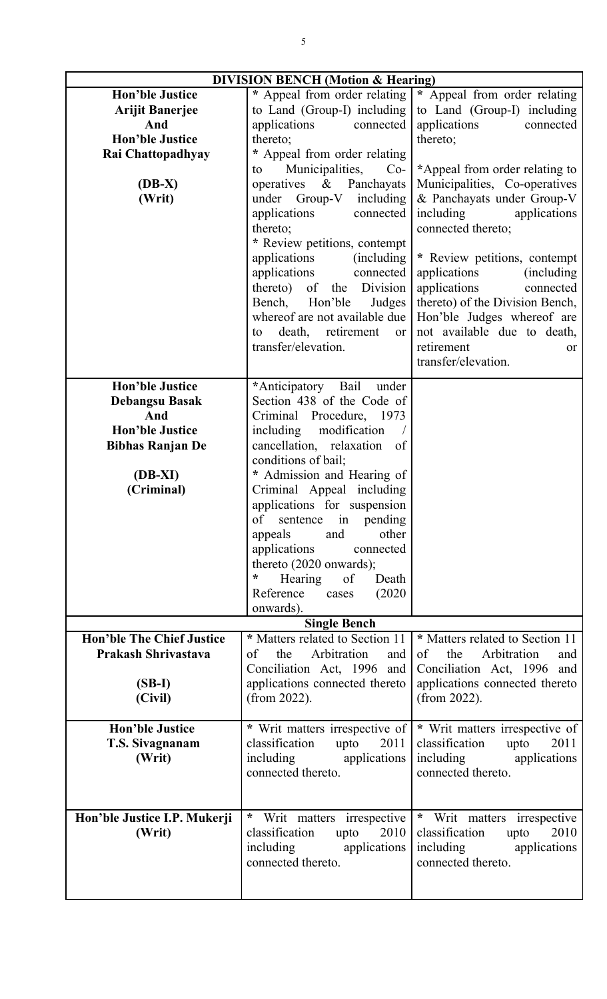| <b>DIVISION BENCH (Motion &amp; Hearing)</b> |                                      |                                     |
|----------------------------------------------|--------------------------------------|-------------------------------------|
| <b>Hon'ble Justice</b>                       | * Appeal from order relating         | * Appeal from order relating        |
| <b>Arijit Banerjee</b>                       | to Land (Group-I) including          | to Land (Group-I) including         |
| And                                          | applications<br>connected            | applications<br>connected           |
|                                              |                                      |                                     |
| <b>Hon'ble Justice</b>                       | thereto;                             | thereto;                            |
| Rai Chattopadhyay                            | * Appeal from order relating         |                                     |
|                                              | Municipalities,<br>$Co-$<br>to       | *Appeal from order relating to      |
| $(DB-X)$                                     | operatives $\&$<br>Panchayats        | Municipalities, Co-operatives       |
| (Writ)                                       | under Group-V including              | & Panchayats under Group-V          |
|                                              | applications<br>connected            | including<br>applications           |
|                                              | thereto;                             |                                     |
|                                              |                                      | connected thereto;                  |
|                                              | * Review petitions, contempt         |                                     |
|                                              | applications<br><i>(including)</i>   | * Review petitions, contempt        |
|                                              | applications<br>connected            | applications<br>(including)         |
|                                              | thereto) of the Division             | applications<br>connected           |
|                                              | Bench,<br>Hon'ble<br>Judges          | thereto) of the Division Bench,     |
|                                              | whereof are not available due        | Hon'ble Judges whereof are          |
|                                              |                                      |                                     |
|                                              | death, retirement<br>or<br>to        | not available due to death,         |
|                                              | transfer/elevation.                  | retirement<br><sub>or</sub>         |
|                                              |                                      | transfer/elevation.                 |
| <b>Hon'ble Justice</b>                       | *Anticipatory Bail<br>under          |                                     |
|                                              |                                      |                                     |
| <b>Debangsu Basak</b>                        | Section 438 of the Code of           |                                     |
| And                                          | Criminal Procedure, 1973             |                                     |
| <b>Hon'ble Justice</b>                       | including<br>modification            |                                     |
| <b>Bibhas Ranjan De</b>                      | cancellation, relaxation of          |                                     |
|                                              | conditions of bail;                  |                                     |
| $(DB-XI)$                                    | * Admission and Hearing of           |                                     |
| (Criminal)                                   | Criminal Appeal including            |                                     |
|                                              |                                      |                                     |
|                                              | applications for suspension          |                                     |
|                                              | of sentence in pending               |                                     |
|                                              | appeals<br>and<br>other              |                                     |
|                                              | applications<br>connected            |                                     |
|                                              | thereto (2020 onwards);              |                                     |
|                                              | $\ast$<br>Hearing<br>of<br>Death     |                                     |
|                                              | Reference<br>(2020)<br>cases         |                                     |
|                                              | onwards).                            |                                     |
|                                              | <b>Single Bench</b>                  |                                     |
| <b>Hon'ble The Chief Justice</b>             | * Matters related to Section 11      | * Matters related to Section 11     |
|                                              |                                      |                                     |
| <b>Prakash Shrivastava</b>                   | Arbitration<br>the<br>of<br>and      | the<br>Arbitration<br>of<br>and     |
|                                              | Conciliation Act, 1996 and           | Conciliation Act, 1996 and          |
| $(SB-I)$                                     | applications connected thereto       | applications connected thereto      |
| (Civil)                                      | (from 2022).                         | (from $2022$ ).                     |
|                                              |                                      |                                     |
| <b>Hon'ble Justice</b>                       | * Writ matters irrespective of       | * Writ matters irrespective of      |
| T.S. Sivagnanam                              | classification<br>upto<br>2011       | classification<br>upto<br>2011      |
| (Writ)                                       | including applications               | including applications              |
|                                              | connected thereto.                   |                                     |
|                                              |                                      | connected thereto.                  |
|                                              |                                      |                                     |
|                                              |                                      |                                     |
| Hon'ble Justice I.P. Mukerji                 | $\star$<br>Writ matters irrespective | $\ast$<br>Writ matters irrespective |
| (Writ)                                       | classification<br>2010<br>upto       | classification<br>2010<br>upto      |
|                                              | applications<br>including            | including<br>applications           |
|                                              | connected thereto.                   | connected thereto.                  |
|                                              |                                      |                                     |
|                                              |                                      |                                     |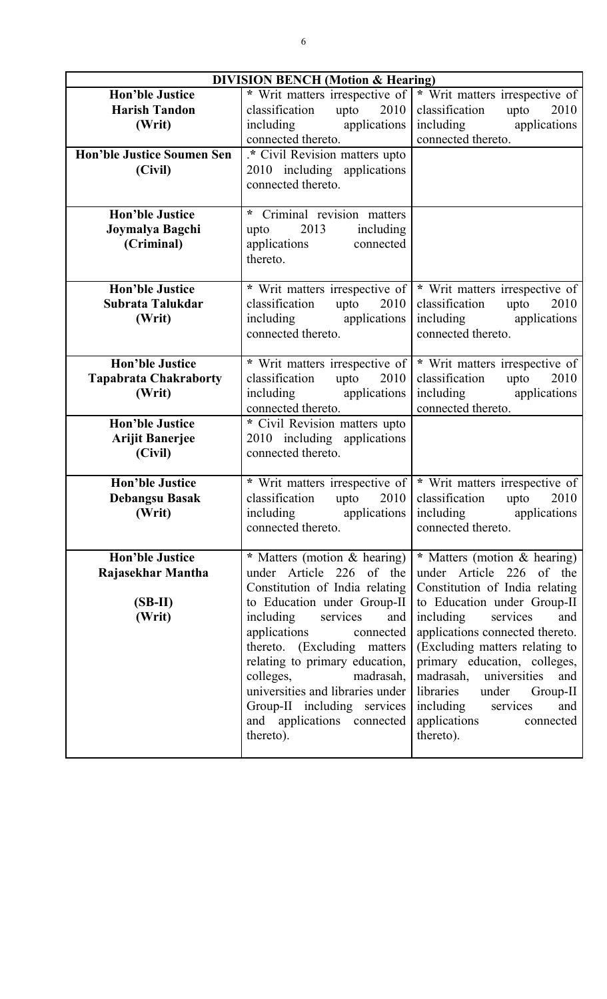| <b>DIVISION BENCH (Motion &amp; Hearing)</b> |                                      |                                 |
|----------------------------------------------|--------------------------------------|---------------------------------|
| <b>Hon'ble Justice</b>                       | * Writ matters irrespective of       | * Writ matters irrespective of  |
| <b>Harish Tandon</b>                         | 2010<br>classification<br>upto       | 2010<br>classification<br>upto  |
| (Writ)                                       | including applications               | including applications          |
|                                              | connected thereto.                   | connected thereto.              |
| <b>Hon'ble Justice Soumen Sen</b>            | .* Civil Revision matters upto       |                                 |
| (Civil)                                      | 2010 including applications          |                                 |
|                                              | connected thereto.                   |                                 |
|                                              |                                      |                                 |
| <b>Hon'ble Justice</b>                       | Criminal revision matters<br>$\star$ |                                 |
| Joymalya Bagchi                              | 2013<br>including<br>upto            |                                 |
| (Criminal)                                   | applications<br>connected            |                                 |
|                                              | thereto.                             |                                 |
|                                              |                                      |                                 |
| <b>Hon'ble Justice</b>                       | * Writ matters irrespective of       | * Writ matters irrespective of  |
| Subrata Talukdar                             | classification<br>upto $2010$        | 2010<br>classification<br>upto  |
| (Writ)                                       | including applications               | including applications          |
|                                              | connected thereto.                   | connected thereto.              |
|                                              |                                      |                                 |
| <b>Hon'ble Justice</b>                       | * Writ matters irrespective of       | * Writ matters irrespective of  |
| <b>Tapabrata Chakraborty</b>                 | classification<br>upto<br>2010       | classification<br>upto<br>2010  |
| (Writ)                                       | including applications               | including applications          |
|                                              | connected thereto.                   | connected thereto.              |
| <b>Hon'ble Justice</b>                       | * Civil Revision matters upto        |                                 |
| <b>Arijit Banerjee</b>                       | 2010 including applications          |                                 |
| (Civil)                                      | connected thereto.                   |                                 |
|                                              |                                      |                                 |
| <b>Hon'ble Justice</b>                       | * Writ matters irrespective of       | * Writ matters irrespective of  |
| <b>Debangsu Basak</b>                        | classification<br>upto<br>2010       | classification<br>upto<br>2010  |
| (Writ)                                       | applications  <br>including          | applications<br>including       |
|                                              | connected thereto.                   | connected thereto.              |
|                                              |                                      |                                 |
| <b>Hon'ble Justice</b>                       | * Matters (motion & hearing)         | * Matters (motion & hearing)    |
| Rajasekhar Mantha                            | under Article 226 of the             | under Article 226 of the        |
|                                              | Constitution of India relating       | Constitution of India relating  |
| $(SB-II)$                                    | to Education under Group-II          | to Education under Group-II     |
| (Writ)                                       | including<br>services<br>and         | including<br>services<br>and    |
|                                              | applications connected               | applications connected thereto. |
|                                              | thereto. (Excluding matters)         | (Excluding matters relating to  |
|                                              | relating to primary education,       | primary education, colleges,    |
|                                              | colleges,<br>madrasah,               | madrasah, universities<br>and   |
|                                              | universities and libraries under     | libraries<br>under<br>Group-II  |
|                                              | Group-II including services          | including<br>services<br>and    |
|                                              | and applications connected           | applications<br>connected       |
|                                              | thereto).                            | thereto).                       |
|                                              |                                      |                                 |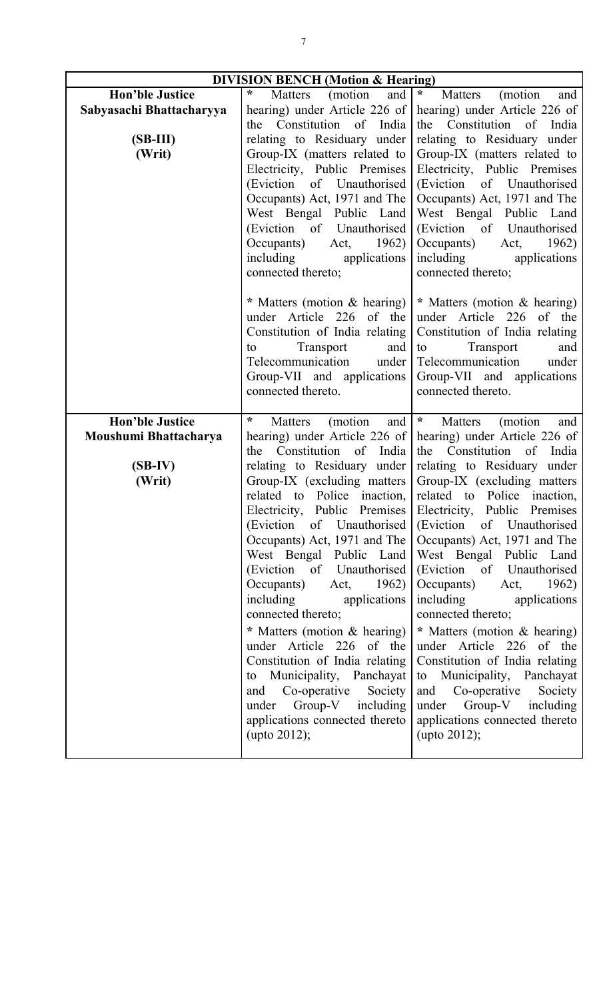| <b>DIVISION BENCH (Motion &amp; Hearing)</b> |                                                           |                                                             |
|----------------------------------------------|-----------------------------------------------------------|-------------------------------------------------------------|
| <b>Hon'ble Justice</b>                       | $\ast$<br>(motion)<br>and<br>Matters                      | $\star$<br>Matters<br>(motion)<br>and                       |
| Sabyasachi Bhattacharyya                     | hearing) under Article 226 of                             | hearing) under Article 226 of                               |
|                                              | the Constitution of India                                 | the Constitution of India                                   |
| $(SB-III)$                                   | relating to Residuary under                               | relating to Residuary under                                 |
| (Writ)                                       | Group-IX (matters related to                              | Group-IX (matters related to                                |
|                                              | Electricity, Public Premises<br>(Eviction of Unauthorised | Electricity, Public Premises<br>(Eviction of Unauthorised   |
|                                              | Occupants) Act, 1971 and The                              | Occupants) Act, 1971 and The                                |
|                                              | West Bengal Public Land                                   | West Bengal Public Land                                     |
|                                              | (Eviction of Unauthorised                                 | (Eviction of Unauthorised                                   |
|                                              | Occupants)<br>Act, $1962$                                 | Occupants) Act, 1962)                                       |
|                                              | including<br>applications                                 | including applications                                      |
|                                              | connected thereto;                                        | connected thereto;                                          |
|                                              | * Matters (motion & hearing)                              | * Matters (motion & hearing)                                |
|                                              | under Article 226 of the                                  | under Article 226 of the                                    |
|                                              | Constitution of India relating                            | Constitution of India relating                              |
|                                              | Transport<br>and<br>to                                    | Transport<br>to<br>and                                      |
|                                              | Telecommunication under                                   | Telecommunication<br>under                                  |
|                                              | Group-VII and applications                                | Group-VII and applications                                  |
|                                              | connected thereto.                                        | connected thereto.                                          |
| <b>Hon'ble Justice</b>                       | $\star$<br>and<br>Matters<br>(motion                      | $\star$<br>Matters<br>(motion)<br>and                       |
|                                              |                                                           |                                                             |
| Moushumi Bhattacharya                        | hearing) under Article 226 of                             | hearing) under Article 226 of                               |
|                                              | the Constitution of India                                 | the Constitution of India                                   |
| $(SB-IV)$                                    | relating to Residuary under                               | relating to Residuary under                                 |
| (Writ)                                       | Group-IX (excluding matters)                              | Group-IX (excluding matters)                                |
|                                              | related to Police inaction,                               | related to Police inaction,                                 |
|                                              |                                                           | Electricity, Public Premises Electricity, Public Premises   |
|                                              |                                                           | (Eviction of Unauthorised (Eviction of Unauthorised)        |
|                                              |                                                           | Occupants) Act, 1971 and The   Occupants) Act, 1971 and The |
|                                              | West Bengal Public Land                                   | West Bengal Public Land                                     |
|                                              | (Eviction of Unauthorised)                                | (Eviction of Unauthorised<br>Occupants) Act, 1962)          |
|                                              | Occupants) Act, 1962)<br>including applications           | including applications                                      |
|                                              | connected thereto;                                        | connected thereto;                                          |
|                                              | * Matters (motion & hearing)                              | * Matters (motion & hearing)                                |
|                                              | under Article 226 of the                                  | under Article 226 of the                                    |
|                                              | Constitution of India relating                            | Constitution of India relating                              |
|                                              | to Municipality, Panchayat                                | to Municipality, Panchayat                                  |
|                                              | and Co-operative Society                                  | and Co-operative Society                                    |
|                                              | under $Group-V$ including                                 | under Group-V including                                     |
|                                              | applications connected thereto<br>(upto 2012);            | applications connected thereto<br>(upto $2012$ );           |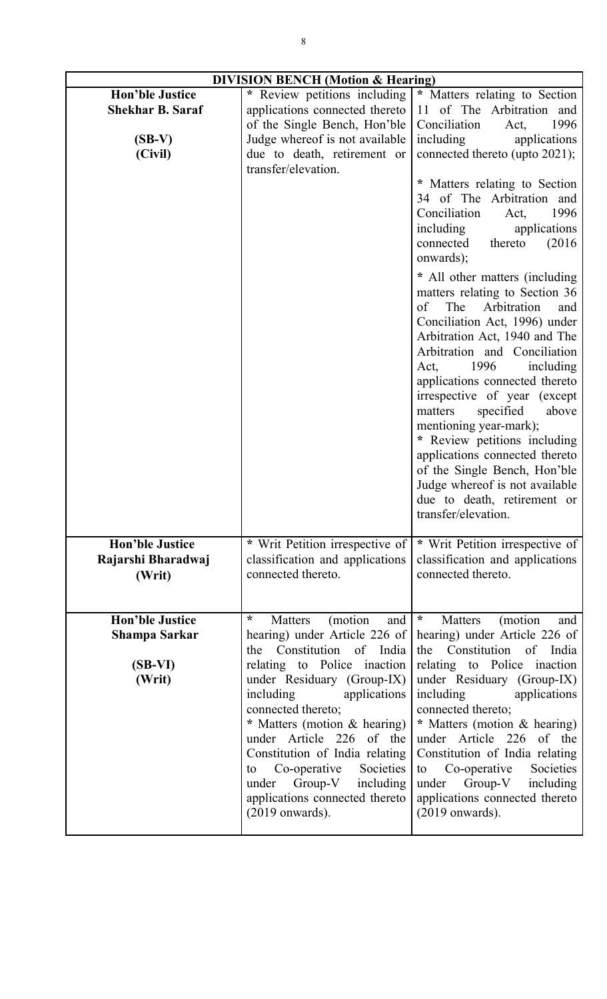| <b>DIVISION BENCH</b> (Motion & Hearing)                                 |                                                                                                                                                                                                                                                                                                                                                                                                                                                |                                                                                                                                                                                                                                                                                                                                                                                                                                                                                                                                                                                                                                                                                                                                                                                                                                                                                                  |
|--------------------------------------------------------------------------|------------------------------------------------------------------------------------------------------------------------------------------------------------------------------------------------------------------------------------------------------------------------------------------------------------------------------------------------------------------------------------------------------------------------------------------------|--------------------------------------------------------------------------------------------------------------------------------------------------------------------------------------------------------------------------------------------------------------------------------------------------------------------------------------------------------------------------------------------------------------------------------------------------------------------------------------------------------------------------------------------------------------------------------------------------------------------------------------------------------------------------------------------------------------------------------------------------------------------------------------------------------------------------------------------------------------------------------------------------|
| <b>Hon'ble Justice</b><br><b>Shekhar B. Saraf</b><br>$(SB-V)$<br>(Civil) | * Review petitions including<br>applications connected thereto<br>of the Single Bench, Hon'ble<br>Judge whereof is not available<br>due to death, retirement or<br>transfer/elevation.                                                                                                                                                                                                                                                         | * Matters relating to Section<br>11 of The Arbitration and<br>Conciliation<br>1996<br>Act,<br>including<br>applications<br>connected thereto (upto 2021);<br>* Matters relating to Section<br>34 of The Arbitration and<br>Conciliation<br>1996<br>Act,<br>including<br>applications<br>connected<br>(2016)<br>thereto<br>onwards);<br>* All other matters (including<br>matters relating to Section 36<br>The<br>Arbitration<br>of<br>and<br>Conciliation Act, 1996) under<br>Arbitration Act, 1940 and The<br>Arbitration and Conciliation<br>1996<br>including<br>Act,<br>applications connected thereto<br>irrespective of year (except<br>specified<br>matters<br>above<br>mentioning year-mark);<br>* Review petitions including<br>applications connected thereto<br>of the Single Bench, Hon'ble<br>Judge whereof is not available<br>due to death, retirement or<br>transfer/elevation. |
| <b>Hon'ble Justice</b><br>Rajarshi Bharadwaj<br>(Writ)                   | * Writ Petition irrespective of<br>classification and applications<br>connected thereto.                                                                                                                                                                                                                                                                                                                                                       | * Writ Petition irrespective of<br>classification and applications<br>connected thereto.                                                                                                                                                                                                                                                                                                                                                                                                                                                                                                                                                                                                                                                                                                                                                                                                         |
| <b>Hon'ble Justice</b><br><b>Shampa Sarkar</b><br>$(SB-VI)$<br>(Writ)    | $\star$<br>(motion<br>and<br>Matters<br>hearing) under Article 226 of<br>Constitution of India<br>the<br>relating to Police inaction<br>under Residuary (Group-IX)<br>including<br>applications<br>connected thereto;<br>* Matters (motion & hearing)<br>under Article 226 of the<br>Constitution of India relating<br>Co-operative<br>Societies<br>to<br>Group-V<br>including<br>under<br>applications connected thereto<br>$(2019$ onwards). | $\star$<br>(motion<br>Matters<br>and<br>hearing) under Article 226 of<br>the<br>Constitution of<br>India<br>relating to Police inaction<br>under Residuary (Group-IX)<br>including<br>applications<br>connected thereto;<br>* Matters (motion & hearing)<br>under Article 226 of the<br>Constitution of India relating<br>Co-operative<br>Societies<br>to<br>$Group-V$<br>including<br>under<br>applications connected thereto<br>$(2019$ onwards).                                                                                                                                                                                                                                                                                                                                                                                                                                              |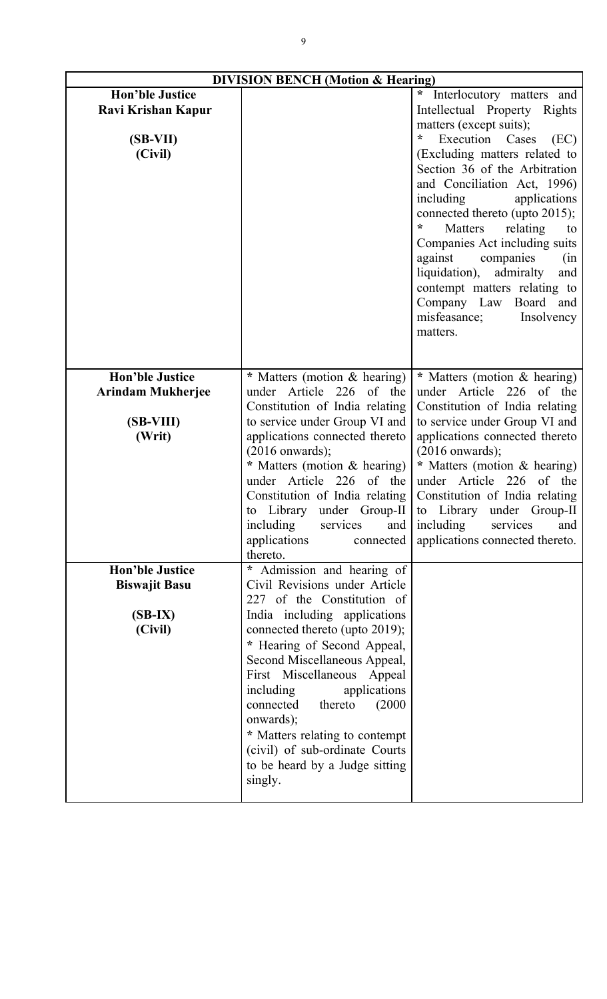| <b>DIVISION BENCH (Motion &amp; Hearing)</b> |                                                          |                                                                  |
|----------------------------------------------|----------------------------------------------------------|------------------------------------------------------------------|
| <b>Hon'ble Justice</b>                       |                                                          | $\ast$<br>Interlocutory matters and                              |
| Ravi Krishan Kapur                           |                                                          | Intellectual Property Rights                                     |
|                                              |                                                          | matters (except suits);                                          |
| $(SB-VII)$                                   |                                                          | $\star$<br>Execution Cases<br>(EC)                               |
| (Civil)                                      |                                                          | (Excluding matters related to                                    |
|                                              |                                                          | Section 36 of the Arbitration                                    |
|                                              |                                                          | and Conciliation Act, 1996)                                      |
|                                              |                                                          | including<br>applications                                        |
|                                              |                                                          | connected thereto (upto 2015);                                   |
|                                              |                                                          | ÷<br>Matters<br>relating<br>to                                   |
|                                              |                                                          | Companies Act including suits                                    |
|                                              |                                                          | against<br>companies<br>(in<br>liquidation),<br>admiralty<br>and |
|                                              |                                                          | contempt matters relating to                                     |
|                                              |                                                          | Company Law Board and                                            |
|                                              |                                                          | misfeasance;<br>Insolvency                                       |
|                                              |                                                          | matters.                                                         |
|                                              |                                                          |                                                                  |
|                                              |                                                          |                                                                  |
| <b>Hon'ble Justice</b>                       | * Matters (motion & hearing)                             | * Matters (motion & hearing)                                     |
| <b>Arindam Mukherjee</b>                     | under Article 226 of the                                 | under Article 226<br>of the                                      |
|                                              | Constitution of India relating                           | Constitution of India relating                                   |
| $(SB-VIII)$                                  | to service under Group VI and                            | to service under Group VI and                                    |
| (Writ)                                       | applications connected thereto                           | applications connected thereto                                   |
|                                              | $(2016$ onwards);                                        | $(2016$ onwards);                                                |
|                                              | * Matters (motion & hearing)<br>under Article 226 of the | * Matters (motion & hearing)<br>under Article 226 of the         |
|                                              | Constitution of India relating                           | Constitution of India relating                                   |
|                                              | Library under Group-II<br>to                             | Library under Group-II<br>to                                     |
|                                              | including<br>services                                    | and $ $ including<br>services<br>and                             |
|                                              | applications<br>connected                                | applications connected thereto.                                  |
|                                              | thereto.                                                 |                                                                  |
| <b>Hon'ble Justice</b>                       | * Admission and hearing of                               |                                                                  |
| <b>Biswajit Basu</b>                         | Civil Revisions under Article                            |                                                                  |
|                                              | 227 of the Constitution of                               |                                                                  |
| $(SB-IX)$                                    | India including applications                             |                                                                  |
| (Civil)                                      | connected thereto (upto 2019);                           |                                                                  |
|                                              | * Hearing of Second Appeal,                              |                                                                  |
|                                              | Second Miscellaneous Appeal,                             |                                                                  |
|                                              | First Miscellaneous Appeal<br>applications<br>including  |                                                                  |
|                                              | connected<br>thereto<br>(2000)                           |                                                                  |
|                                              | onwards);                                                |                                                                  |
|                                              | * Matters relating to contempt                           |                                                                  |
|                                              | (civil) of sub-ordinate Courts                           |                                                                  |
|                                              | to be heard by a Judge sitting                           |                                                                  |
|                                              | singly.                                                  |                                                                  |
|                                              |                                                          |                                                                  |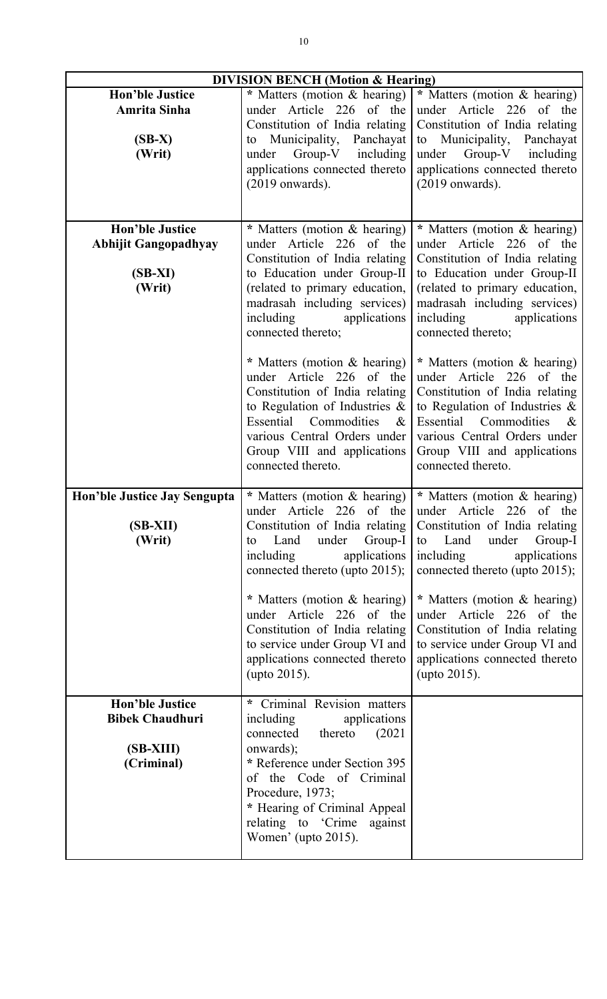| <b>DIVISION BENCH</b> (Motion & Hearing)                                      |                                                                                                                                                                                                                                                                                                                                                                              |                                                                                                                                                                                                                                                                                                                                                                              |
|-------------------------------------------------------------------------------|------------------------------------------------------------------------------------------------------------------------------------------------------------------------------------------------------------------------------------------------------------------------------------------------------------------------------------------------------------------------------|------------------------------------------------------------------------------------------------------------------------------------------------------------------------------------------------------------------------------------------------------------------------------------------------------------------------------------------------------------------------------|
| <b>Hon'ble Justice</b><br>Amrita Sinha<br>$(SB-X)$<br>(Writ)                  | * Matters (motion & hearing)<br>under Article 226 of the<br>Constitution of India relating<br>to Municipality, Panchayat<br>Group-V<br>under<br>including<br>applications connected thereto<br>$(2019$ onwards).                                                                                                                                                             | * Matters (motion & hearing)<br>under Article 226 of the<br>Constitution of India relating<br>to Municipality, Panchayat<br>under Group-V including<br>applications connected thereto<br>$(2019$ onwards).                                                                                                                                                                   |
| <b>Hon'ble Justice</b><br><b>Abhijit Gangopadhyay</b><br>$(SB-XI)$<br>(Writ)  | * Matters (motion & hearing)<br>under Article 226 of the<br>Constitution of India relating<br>to Education under Group-II<br>(related to primary education,<br>madrasah including services)<br>including<br>applications<br>connected thereto;<br>* Matters (motion $&$ hearing)                                                                                             | * Matters (motion & hearing)<br>under Article 226 of the<br>Constitution of India relating<br>to Education under Group-II<br>(related to primary education,<br>madrasah including services)<br>including<br>applications<br>connected thereto;<br>* Matters (motion $&$ hearing)                                                                                             |
|                                                                               | under Article 226 of the<br>Constitution of India relating<br>to Regulation of Industries $\&$<br>Essential Commodities<br>$\&$<br>various Central Orders under<br>Group VIII and applications<br>connected thereto.                                                                                                                                                         | under Article 226 of the<br>Constitution of India relating<br>to Regulation of Industries $\&$<br>Commodities<br>Essential<br>$\&$<br>various Central Orders under<br>Group VIII and applications<br>connected thereto.                                                                                                                                                      |
| Hon'ble Justice Jay Sengupta<br>(SB-XII)<br>(Writ)                            | * Matters (motion & hearing)<br>under Article 226 of the<br>Constitution of India relating<br>Group-I<br>Land<br>under<br>to<br>including<br>applications<br>connected thereto (upto 2015);<br>* Matters (motion & hearing)<br>under Article 226 of the<br>Constitution of India relating<br>to service under Group VI and<br>applications connected thereto<br>(upto 2015). | * Matters (motion & hearing)<br>under Article 226 of the<br>Constitution of India relating<br>Land<br>under<br>Group-I<br>to<br>including<br>applications<br>connected thereto (upto 2015);<br>* Matters (motion & hearing)<br>under Article 226 of the<br>Constitution of India relating<br>to service under Group VI and<br>applications connected thereto<br>(upto 2015). |
| <b>Hon'ble Justice</b><br><b>Bibek Chaudhuri</b><br>$(SB-XIII)$<br>(Criminal) | * Criminal Revision matters<br>including<br>applications<br>connected<br>(2021)<br>thereto<br>onwards);<br>* Reference under Section 395<br>of the Code of Criminal<br>Procedure, 1973;<br>* Hearing of Criminal Appeal<br>relating to 'Crime'<br>against<br>Women' (upto 2015).                                                                                             |                                                                                                                                                                                                                                                                                                                                                                              |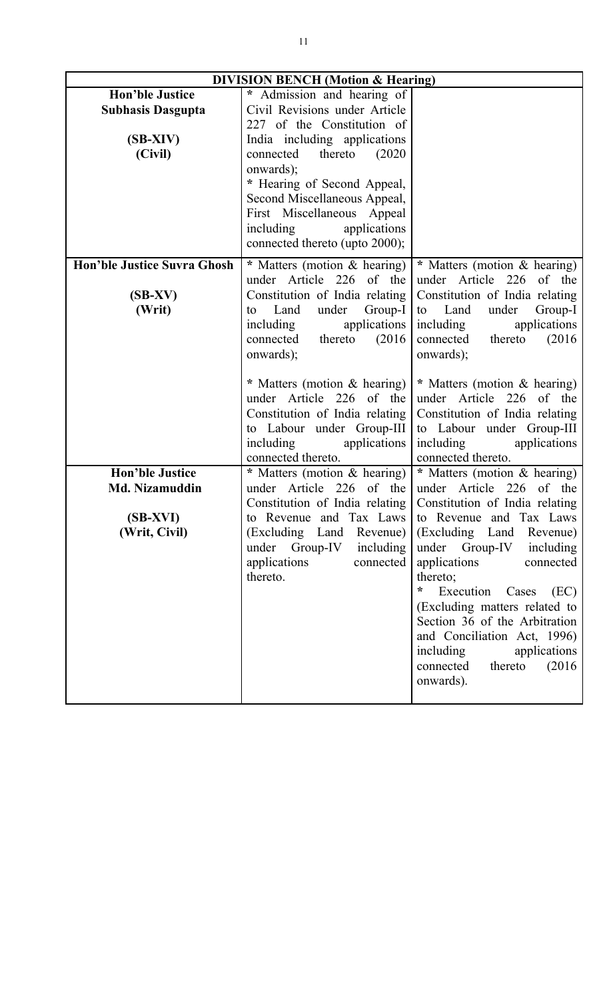| <b>DIVISION BENCH (Motion &amp; Hearing)</b> |                                                   |                                        |
|----------------------------------------------|---------------------------------------------------|----------------------------------------|
| <b>Hon'ble Justice</b>                       | * Admission and hearing of                        |                                        |
| <b>Subhasis Dasgupta</b>                     | Civil Revisions under Article                     |                                        |
|                                              | 227 of the Constitution of                        |                                        |
| $(SB-XIV)$                                   | India including applications                      |                                        |
| (Civil)                                      | (2020)<br>connected<br>thereto                    |                                        |
|                                              | onwards);                                         |                                        |
|                                              | * Hearing of Second Appeal,                       |                                        |
|                                              | Second Miscellaneous Appeal,                      |                                        |
|                                              | First Miscellaneous Appeal                        |                                        |
|                                              | including<br>applications                         |                                        |
|                                              | connected thereto (upto 2000);                    |                                        |
| <b>Hon'ble Justice Suvra Ghosh</b>           | * Matters (motion & hearing)                      | * Matters (motion & hearing)           |
|                                              | under Article 226 of the                          | under Article 226 of the               |
|                                              |                                                   |                                        |
| $(SB-XV)$                                    | Constitution of India relating<br>Land            | Constitution of India relating<br>Land |
| (Writ)                                       | Group-I<br>under<br>to                            | under<br>Group-I<br>to                 |
|                                              | applications<br>including<br>thereto              | including<br>applications              |
|                                              | (2016)<br>connected                               | connected<br>thereto<br>(2016)         |
|                                              | onwards);                                         | onwards);                              |
|                                              | * Matters (motion & hearing)                      | * Matters (motion & hearing)           |
|                                              | under Article 226 of the                          | under Article 226 of the               |
|                                              |                                                   |                                        |
|                                              | Constitution of India relating                    | Constitution of India relating         |
|                                              | to Labour under Group-III                         | to Labour under Group-III              |
|                                              | including<br>applications                         | including<br>applications              |
|                                              | connected thereto.                                | connected thereto.                     |
| <b>Hon'ble Justice</b>                       | * Matters (motion & hearing)<br>under Article 226 | * Matters (motion & hearing)           |
| Md. Nizamuddin                               | of the                                            | under Article 226 of the               |
|                                              | Constitution of India relating                    | Constitution of India relating         |
| (SB-XVI)                                     | to Revenue and Tax Laws                           | to Revenue and Tax Laws                |
| (Writ, Civil)                                | (Excluding Land<br>Revenue)                       | (Excluding Land<br>Revenue)            |
|                                              | under Group-IV<br>including                       | under Group-IV<br>including            |
|                                              | applications<br>connected                         | applications<br>connected              |
|                                              | thereto.                                          | thereto;                               |
|                                              |                                                   | *<br>Execution Cases<br>(EC)           |
|                                              |                                                   | (Excluding matters related to          |
|                                              |                                                   | Section 36 of the Arbitration          |
|                                              |                                                   | and Conciliation Act, 1996)            |
|                                              |                                                   | including<br>applications              |
|                                              |                                                   | thereto<br>(2016)<br>connected         |
|                                              |                                                   | onwards).                              |
|                                              |                                                   |                                        |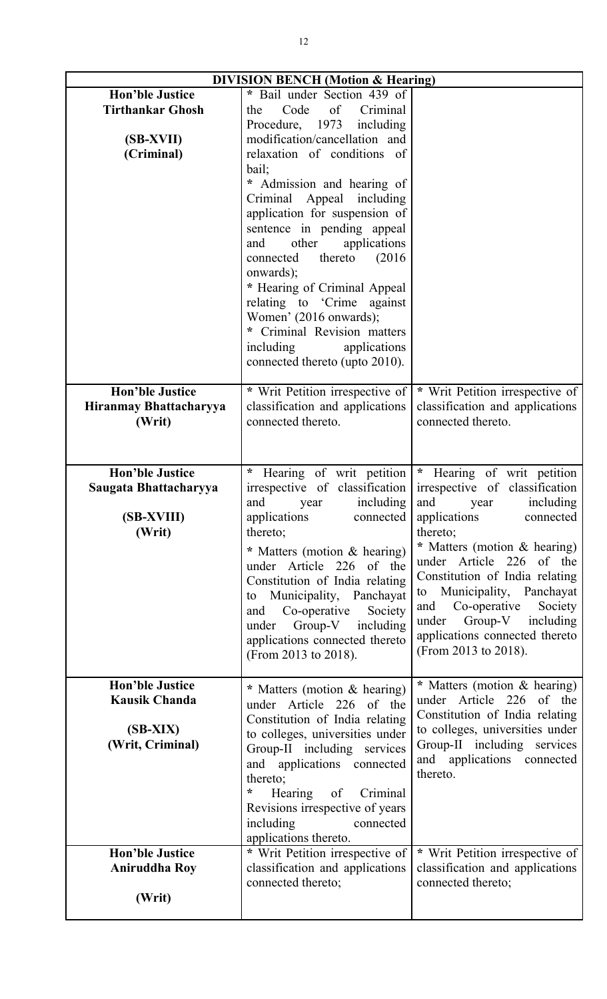| <b>DIVISION BENCH (Motion &amp; Hearing)</b> |                                                       |                                                          |
|----------------------------------------------|-------------------------------------------------------|----------------------------------------------------------|
| <b>Hon'ble Justice</b>                       | * Bail under Section 439 of                           |                                                          |
| <b>Tirthankar Ghosh</b>                      | Code<br>of Criminal<br>the                            |                                                          |
|                                              | Procedure, 1973<br>including                          |                                                          |
| (SB-XVII)                                    | modification/cancellation and                         |                                                          |
| (Criminal)                                   | relaxation of conditions of                           |                                                          |
|                                              | bail;                                                 |                                                          |
|                                              | * Admission and hearing of                            |                                                          |
|                                              | Criminal Appeal including                             |                                                          |
|                                              | application for suspension of                         |                                                          |
|                                              | sentence in pending appeal                            |                                                          |
|                                              | other<br>applications<br>and                          |                                                          |
|                                              | connected thereto<br>(2016)                           |                                                          |
|                                              | onwards);                                             |                                                          |
|                                              | * Hearing of Criminal Appeal                          |                                                          |
|                                              | relating to 'Crime against                            |                                                          |
|                                              | Women' (2016 onwards);                                |                                                          |
|                                              | * Criminal Revision matters                           |                                                          |
|                                              | including<br>applications                             |                                                          |
|                                              | connected thereto (upto 2010).                        |                                                          |
|                                              |                                                       |                                                          |
| <b>Hon'ble Justice</b>                       | * Writ Petition irrespective of                       | * Writ Petition irrespective of                          |
| Hiranmay Bhattacharyya                       | classification and applications<br>connected thereto. | classification and applications<br>connected thereto.    |
| (Writ)                                       |                                                       |                                                          |
|                                              |                                                       |                                                          |
|                                              |                                                       |                                                          |
| <b>Hon'ble Justice</b>                       | $\star$<br>Hearing of writ petition                   | Hearing of writ petition<br>$\star$                      |
| Saugata Bhattacharyya                        | irrespective of classification                        | irrespective of classification                           |
|                                              | including<br>and<br>year                              | including<br>and year                                    |
| (SB-XVIII)                                   | applications<br>connected                             | applications<br>connected                                |
| (Writ)                                       | thereto;                                              | thereto;                                                 |
|                                              | * Matters (motion & hearing)                          | * Matters (motion & hearing)<br>under Article 226 of the |
|                                              | under Article 226 of the                              | Constitution of India relating                           |
|                                              | Constitution of India relating                        | to Municipality, Panchayat                               |
|                                              | to Municipality, Panchayat                            | Co-operative<br>Society<br>and                           |
|                                              | and Co-operative<br>Society                           | under Group-V including                                  |
|                                              | under Group-V including                               | applications connected thereto                           |
|                                              | applications connected thereto                        | (From 2013 to 2018).                                     |
|                                              | (From 2013 to 2018).                                  |                                                          |
| <b>Hon'ble Justice</b>                       |                                                       |                                                          |
| <b>Kausik Chanda</b>                         | * Matters (motion & hearing)                          | * Matters (motion & hearing)<br>under Article 226 of the |
|                                              | under Article 226 of the                              | Constitution of India relating                           |
| $(SB-XIX)$                                   | Constitution of India relating                        | to colleges, universities under                          |
| (Writ, Criminal)                             | to colleges, universities under                       | Group-II including services                              |
|                                              | Group-II including services                           | and applications connected                               |
|                                              | and applications connected                            | thereto.                                                 |
|                                              | thereto;<br>*                                         |                                                          |
|                                              | Hearing<br>of Criminal                                |                                                          |
|                                              | Revisions irrespective of years                       |                                                          |
|                                              | including<br>connected<br>applications thereto.       |                                                          |
| <b>Hon'ble Justice</b>                       | * Writ Petition irrespective of                       | * Writ Petition irrespective of                          |
| <b>Aniruddha Roy</b>                         |                                                       | classification and applications                          |
|                                              |                                                       |                                                          |
|                                              | classification and applications                       |                                                          |
|                                              | connected thereto;                                    | connected thereto;                                       |
| (Writ)                                       |                                                       |                                                          |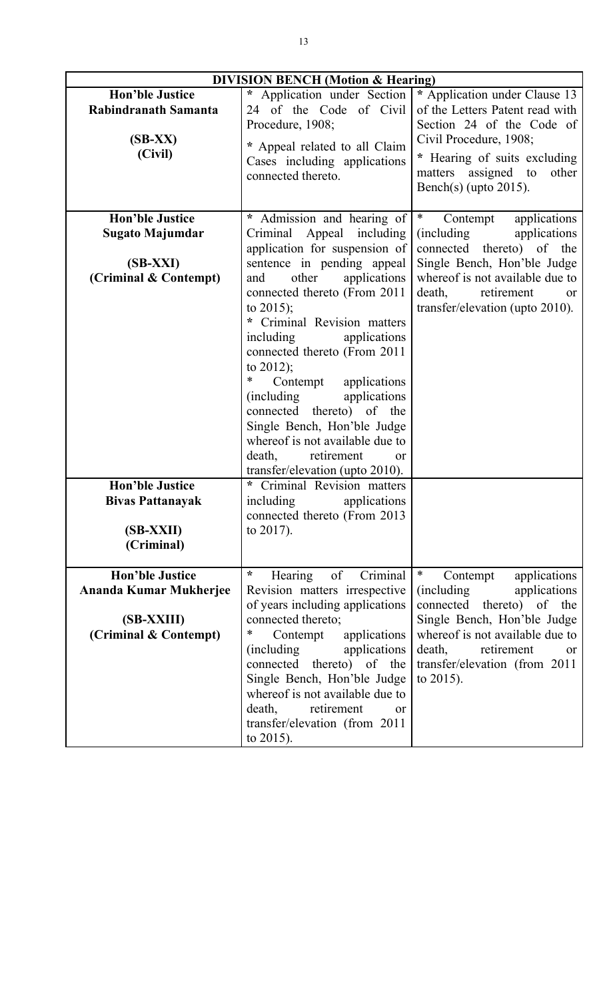| <b>DIVISION BENCH</b> (Motion & Hearing)                                                                          |                                                                                                                                                                                                                                                                                                                                                                                                                                                                                                                                                                                  |                                                                                                                                                                                                                                          |  |  |
|-------------------------------------------------------------------------------------------------------------------|----------------------------------------------------------------------------------------------------------------------------------------------------------------------------------------------------------------------------------------------------------------------------------------------------------------------------------------------------------------------------------------------------------------------------------------------------------------------------------------------------------------------------------------------------------------------------------|------------------------------------------------------------------------------------------------------------------------------------------------------------------------------------------------------------------------------------------|--|--|
| <b>Hon'ble Justice</b><br>Rabindranath Samanta<br>$(SB-XX)$<br>(Civil)                                            | $\star$<br>Application under Section<br>24 of the Code of Civil<br>Procedure, 1908;<br>* Appeal related to all Claim<br>Cases including applications<br>connected thereto.                                                                                                                                                                                                                                                                                                                                                                                                       | * Application under Clause 13<br>of the Letters Patent read with<br>Section 24 of the Code of<br>Civil Procedure, 1908;<br>* Hearing of suits excluding<br>matters assigned to<br>other<br>Bench(s) (upto $2015$ ).                      |  |  |
| <b>Hon'ble Justice</b><br><b>Sugato Majumdar</b><br>$(SB-XXI)$<br>(Criminal & Contempt)<br><b>Hon'ble Justice</b> | * Admission and hearing of<br>Appeal including<br>Criminal<br>application for suspension of<br>sentence in pending appeal<br>other<br>applications<br>and<br>connected thereto (From 2011<br>to $2015$ ;<br>* Criminal Revision matters<br>including<br>applications<br>connected thereto (From 2011<br>to $2012$ );<br>∗<br>Contempt applications<br>applications<br>(including)<br>connected thereto) of the<br>Single Bench, Hon'ble Judge<br>whereof is not available due to<br>retirement<br>death,<br>or<br>transfer/elevation (upto 2010).<br>* Criminal Revision matters | $\ast$<br>applications<br>Contempt<br>(including<br>applications<br>connected thereto) of the<br>Single Bench, Hon'ble Judge<br>whereof is not available due to<br>death, retirement<br><sub>or</sub><br>transfer/elevation (upto 2010). |  |  |
| <b>Bivas Pattanayak</b><br>(SB-XXII)<br>(Criminal)                                                                | including<br>applications<br>connected thereto (From 2013)<br>to $2017$ ).                                                                                                                                                                                                                                                                                                                                                                                                                                                                                                       |                                                                                                                                                                                                                                          |  |  |
| <b>Hon'ble Justice</b>                                                                                            | $\star$<br>of<br>Hearing<br>Criminal                                                                                                                                                                                                                                                                                                                                                                                                                                                                                                                                             | $\ast$<br>Contempt<br>applications                                                                                                                                                                                                       |  |  |
| <b>Ananda Kumar Mukherjee</b>                                                                                     | Revision matters irrespective<br>of years including applications                                                                                                                                                                                                                                                                                                                                                                                                                                                                                                                 | <i>(including)</i><br>applications<br>connected thereto) of the                                                                                                                                                                          |  |  |
| (SB-XXIII)<br>(Criminal & Contempt)                                                                               | connected thereto;<br>Contempt<br>applications<br>∗                                                                                                                                                                                                                                                                                                                                                                                                                                                                                                                              | Single Bench, Hon'ble Judge<br>whereof is not available due to                                                                                                                                                                           |  |  |
|                                                                                                                   | <i>(including)</i><br>applications<br>connected thereto) of the<br>Single Bench, Hon'ble Judge<br>whereof is not available due to<br>death,<br>retirement<br>or<br>transfer/elevation (from 2011<br>to $2015$ ).                                                                                                                                                                                                                                                                                                                                                                 | death,<br>retirement<br>or<br>transfer/elevation (from 2011<br>to $2015$ ).                                                                                                                                                              |  |  |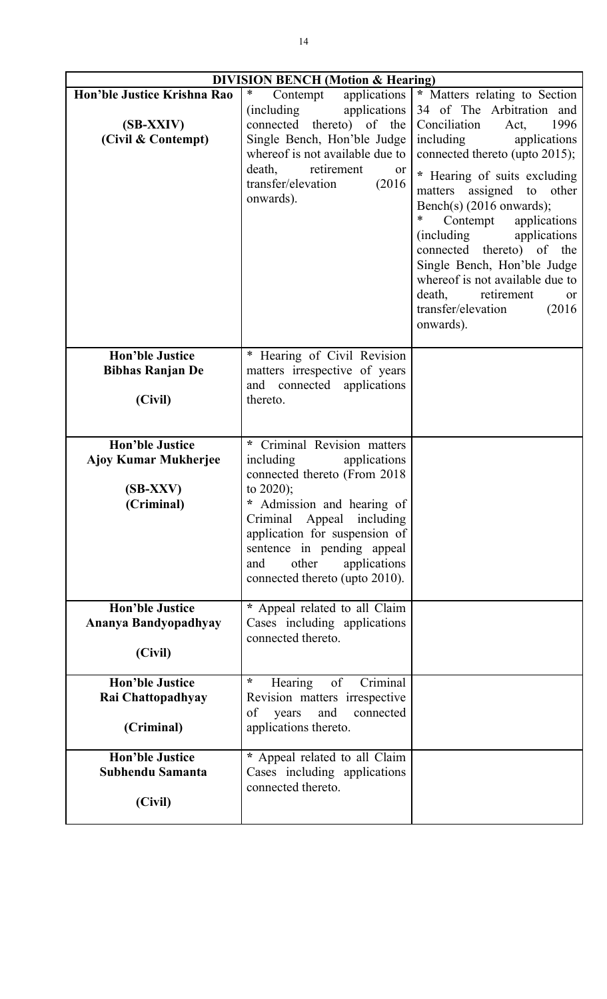| <b>DIVISION BENCH (Motion &amp; Hearing)</b>                   |                                                                                                                                                                                                                                                        |                                                                                                                                                                                                                                                                                                                                                                                                                                                                                                      |  |  |
|----------------------------------------------------------------|--------------------------------------------------------------------------------------------------------------------------------------------------------------------------------------------------------------------------------------------------------|------------------------------------------------------------------------------------------------------------------------------------------------------------------------------------------------------------------------------------------------------------------------------------------------------------------------------------------------------------------------------------------------------------------------------------------------------------------------------------------------------|--|--|
| Hon'ble Justice Krishna Rao<br>(SB-XXIV)<br>(Civil & Contempt) | $\ast$<br>Contempt<br>applications<br>applications<br>(including)<br>connected thereto) of the<br>Single Bench, Hon'ble Judge<br>whereof is not available due to<br>death,<br>retirement<br><sub>or</sub><br>(2016)<br>transfer/elevation<br>onwards). | * Matters relating to Section<br>34 of The Arbitration and<br>Conciliation<br>1996<br>Act,<br>including<br>applications<br>connected thereto (upto 2015);<br>* Hearing of suits excluding<br>matters assigned to other<br>Bench(s) (2016 onwards);<br>*<br>Contempt applications<br>(including)<br>applications<br>connected thereto) of the<br>Single Bench, Hon'ble Judge<br>whereof is not available due to<br>death,<br>retirement<br><sub>or</sub><br>transfer/elevation<br>(2016)<br>onwards). |  |  |
| <b>Hon'ble Justice</b>                                         | * Hearing of Civil Revision                                                                                                                                                                                                                            |                                                                                                                                                                                                                                                                                                                                                                                                                                                                                                      |  |  |
| <b>Bibhas Ranjan De</b>                                        | matters irrespective of years                                                                                                                                                                                                                          |                                                                                                                                                                                                                                                                                                                                                                                                                                                                                                      |  |  |
| (Civil)                                                        | and connected applications<br>thereto.                                                                                                                                                                                                                 |                                                                                                                                                                                                                                                                                                                                                                                                                                                                                                      |  |  |
|                                                                |                                                                                                                                                                                                                                                        |                                                                                                                                                                                                                                                                                                                                                                                                                                                                                                      |  |  |
| <b>Hon'ble Justice</b>                                         | Criminal Revision matters<br>$\ast$                                                                                                                                                                                                                    |                                                                                                                                                                                                                                                                                                                                                                                                                                                                                                      |  |  |
| <b>Ajoy Kumar Mukherjee</b>                                    | including<br>applications                                                                                                                                                                                                                              |                                                                                                                                                                                                                                                                                                                                                                                                                                                                                                      |  |  |
|                                                                | connected thereto (From 2018)                                                                                                                                                                                                                          |                                                                                                                                                                                                                                                                                                                                                                                                                                                                                                      |  |  |
| $(SB-XXV)$                                                     | to $2020$ ;                                                                                                                                                                                                                                            |                                                                                                                                                                                                                                                                                                                                                                                                                                                                                                      |  |  |
| (Criminal)                                                     | Admission and hearing of<br>Criminal Appeal including                                                                                                                                                                                                  |                                                                                                                                                                                                                                                                                                                                                                                                                                                                                                      |  |  |
|                                                                | application for suspension of                                                                                                                                                                                                                          |                                                                                                                                                                                                                                                                                                                                                                                                                                                                                                      |  |  |
|                                                                | sentence in pending appeal                                                                                                                                                                                                                             |                                                                                                                                                                                                                                                                                                                                                                                                                                                                                                      |  |  |
|                                                                | other<br>and<br>applications<br>connected thereto (upto 2010).                                                                                                                                                                                         |                                                                                                                                                                                                                                                                                                                                                                                                                                                                                                      |  |  |
|                                                                |                                                                                                                                                                                                                                                        |                                                                                                                                                                                                                                                                                                                                                                                                                                                                                                      |  |  |
| <b>Hon'ble Justice</b>                                         | * Appeal related to all Claim                                                                                                                                                                                                                          |                                                                                                                                                                                                                                                                                                                                                                                                                                                                                                      |  |  |
| Ananya Bandyopadhyay                                           | Cases including applications<br>connected thereto.                                                                                                                                                                                                     |                                                                                                                                                                                                                                                                                                                                                                                                                                                                                                      |  |  |
| (Civil)                                                        |                                                                                                                                                                                                                                                        |                                                                                                                                                                                                                                                                                                                                                                                                                                                                                                      |  |  |
|                                                                |                                                                                                                                                                                                                                                        |                                                                                                                                                                                                                                                                                                                                                                                                                                                                                                      |  |  |
| <b>Hon'ble Justice</b><br>Rai Chattopadhyay                    | $\ast$<br>of<br>Criminal<br>Hearing<br>Revision matters irrespective                                                                                                                                                                                   |                                                                                                                                                                                                                                                                                                                                                                                                                                                                                                      |  |  |
|                                                                | and<br>of<br>connected<br>years                                                                                                                                                                                                                        |                                                                                                                                                                                                                                                                                                                                                                                                                                                                                                      |  |  |
| (Criminal)                                                     | applications thereto.                                                                                                                                                                                                                                  |                                                                                                                                                                                                                                                                                                                                                                                                                                                                                                      |  |  |
| <b>Hon'ble Justice</b>                                         | * Appeal related to all Claim                                                                                                                                                                                                                          |                                                                                                                                                                                                                                                                                                                                                                                                                                                                                                      |  |  |
| Subhendu Samanta                                               | Cases including applications<br>connected thereto.                                                                                                                                                                                                     |                                                                                                                                                                                                                                                                                                                                                                                                                                                                                                      |  |  |
| (Civil)                                                        |                                                                                                                                                                                                                                                        |                                                                                                                                                                                                                                                                                                                                                                                                                                                                                                      |  |  |
|                                                                |                                                                                                                                                                                                                                                        |                                                                                                                                                                                                                                                                                                                                                                                                                                                                                                      |  |  |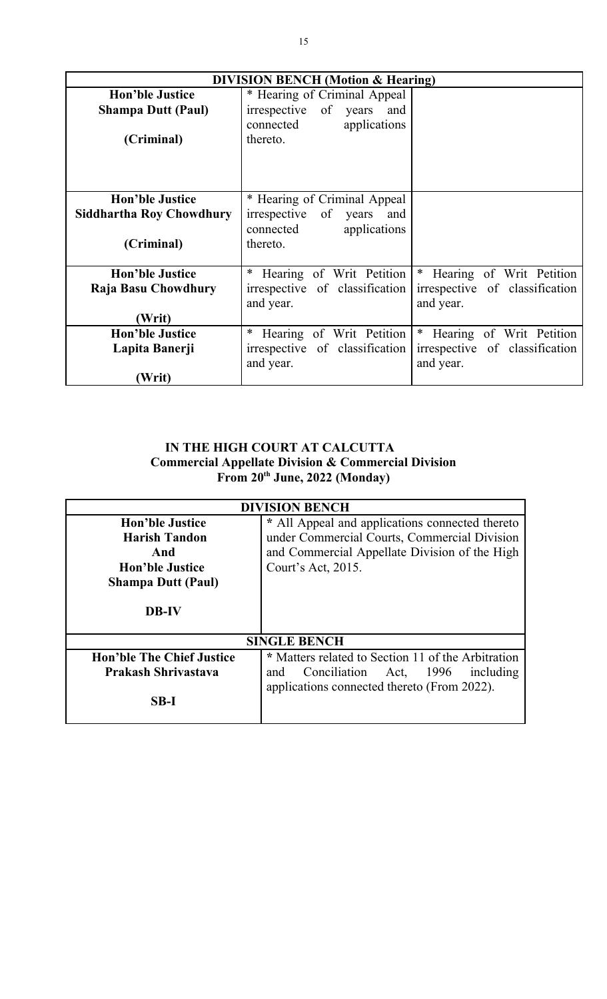| <b>DIVISION BENCH</b> (Motion & Hearing) |                                |                                |
|------------------------------------------|--------------------------------|--------------------------------|
| <b>Hon'ble Justice</b>                   | * Hearing of Criminal Appeal   |                                |
| <b>Shampa Dutt (Paul)</b>                | irrespective of years and      |                                |
|                                          | applications<br>connected      |                                |
| (Criminal)                               | thereto.                       |                                |
|                                          |                                |                                |
|                                          |                                |                                |
|                                          |                                |                                |
| <b>Hon'ble Justice</b>                   | * Hearing of Criminal Appeal   |                                |
| <b>Siddhartha Roy Chowdhury</b>          | irrespective of years and      |                                |
|                                          | connected<br>applications      |                                |
| (Criminal)                               | thereto.                       |                                |
|                                          |                                |                                |
| <b>Hon'ble Justice</b>                   | Hearing of Writ Petition       | * Hearing of Writ Petition     |
| Raja Basu Chowdhury                      | irrespective of classification | irrespective of classification |
|                                          | and year.                      | and year.                      |
| (Writ)                                   |                                |                                |
| <b>Hon'ble Justice</b>                   | Hearing of Writ Petition       | * Hearing of Writ Petition     |
| Lapita Banerji                           | irrespective of classification | irrespective of classification |
|                                          | and year.                      | and year.                      |
| (Writ)                                   |                                |                                |

## **IN THE HIGH COURT AT CALCUTTA Commercial Appellate Division & Commercial Division From 20th June, 2022 (Monday)**

| <b>DIVISION BENCH</b>            |                                                    |  |
|----------------------------------|----------------------------------------------------|--|
| <b>Hon'ble Justice</b>           | * All Appeal and applications connected thereto    |  |
| <b>Harish Tandon</b>             | under Commercial Courts, Commercial Division       |  |
| And                              | and Commercial Appellate Division of the High      |  |
| <b>Hon'ble Justice</b>           | Court's Act, 2015.                                 |  |
| <b>Shampa Dutt (Paul)</b>        |                                                    |  |
| <b>DB-IV</b>                     |                                                    |  |
| <b>SINGLE BENCH</b>              |                                                    |  |
| <b>Hon'ble The Chief Justice</b> | * Matters related to Section 11 of the Arbitration |  |
| Prakash Shrivastava              | 1996<br>Conciliation Act,<br>including<br>and      |  |
|                                  | applications connected thereto (From 2022).        |  |
| $SB-I$                           |                                                    |  |
|                                  |                                                    |  |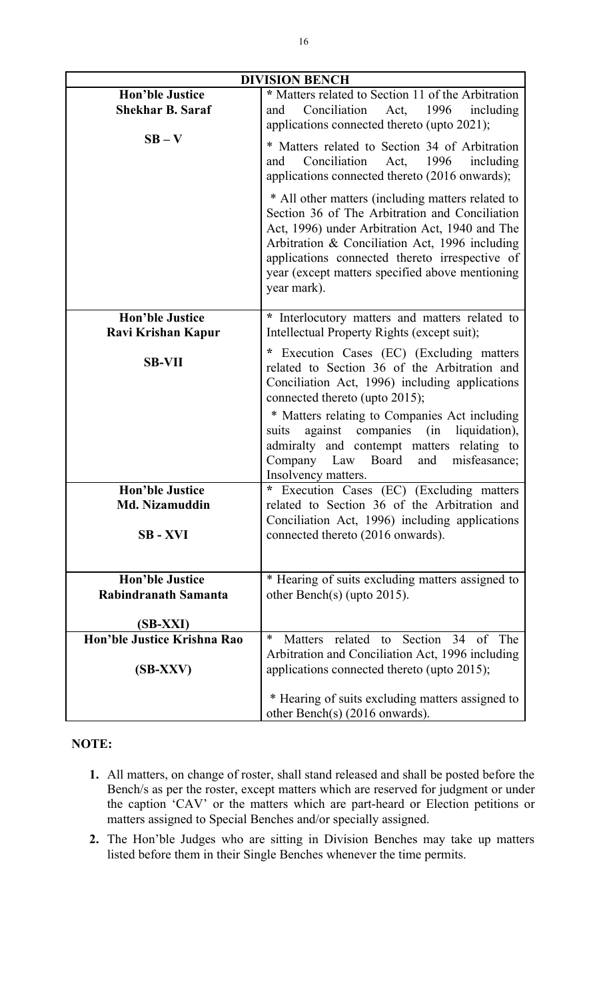| <b>DIVISION BENCH</b>                        |                                                                                                                                                                                                                                                                                                                             |  |
|----------------------------------------------|-----------------------------------------------------------------------------------------------------------------------------------------------------------------------------------------------------------------------------------------------------------------------------------------------------------------------------|--|
| <b>Hon'ble Justice</b>                       | * Matters related to Section 11 of the Arbitration                                                                                                                                                                                                                                                                          |  |
| <b>Shekhar B. Saraf</b>                      | Conciliation Act, 1996<br>including<br>and<br>applications connected thereto (upto 2021);                                                                                                                                                                                                                                   |  |
| $SB - V$                                     | * Matters related to Section 34 of Arbitration                                                                                                                                                                                                                                                                              |  |
|                                              | Conciliation<br>including<br>Act,<br>1996<br>and                                                                                                                                                                                                                                                                            |  |
|                                              | applications connected thereto (2016 onwards);                                                                                                                                                                                                                                                                              |  |
|                                              | * All other matters (including matters related to<br>Section 36 of The Arbitration and Conciliation<br>Act, 1996) under Arbitration Act, 1940 and The<br>Arbitration & Conciliation Act, 1996 including<br>applications connected thereto irrespective of<br>year (except matters specified above mentioning<br>year mark). |  |
| <b>Hon'ble Justice</b><br>Ravi Krishan Kapur | * Interlocutory matters and matters related to<br>Intellectual Property Rights (except suit);                                                                                                                                                                                                                               |  |
|                                              | Execution Cases (EC) (Excluding matters<br>$\star$                                                                                                                                                                                                                                                                          |  |
| <b>SB-VII</b>                                | related to Section 36 of the Arbitration and<br>Conciliation Act, 1996) including applications<br>connected thereto (upto 2015);                                                                                                                                                                                            |  |
|                                              | * Matters relating to Companies Act including<br>against companies (in liquidation),<br>suits<br>admiralty and contempt matters relating to<br>Company Law Board<br>and<br>misfeasance;<br>Insolvency matters.                                                                                                              |  |
| <b>Hon'ble Justice</b>                       | * Execution Cases (EC) (Excluding matters                                                                                                                                                                                                                                                                                   |  |
| <b>Md. Nizamuddin</b>                        | related to Section 36 of the Arbitration and<br>Conciliation Act, 1996) including applications                                                                                                                                                                                                                              |  |
| <b>SB-XVI</b>                                | connected thereto (2016 onwards).                                                                                                                                                                                                                                                                                           |  |
| <b>Hon'ble Justice</b>                       | * Hearing of suits excluding matters assigned to                                                                                                                                                                                                                                                                            |  |
| Rabindranath Samanta                         | other Bench(s) (upto $2015$ ).                                                                                                                                                                                                                                                                                              |  |
|                                              |                                                                                                                                                                                                                                                                                                                             |  |
| (SB-XXI)<br>Hon'ble Justice Krishna Rao      | Matters related to Section 34 of<br>∗<br>The                                                                                                                                                                                                                                                                                |  |
| $(SB-XXV)$                                   | Arbitration and Conciliation Act, 1996 including<br>applications connected thereto (upto 2015);                                                                                                                                                                                                                             |  |
|                                              |                                                                                                                                                                                                                                                                                                                             |  |
|                                              | * Hearing of suits excluding matters assigned to<br>other Bench(s) $(2016$ onwards).                                                                                                                                                                                                                                        |  |

## **NOTE:**

- **1.** All matters, on change of roster, shall stand released and shall be posted before the Bench/s as per the roster, except matters which are reserved for judgment or under the caption 'CAV' or the matters which are part-heard or Election petitions or matters assigned to Special Benches and/or specially assigned.
- **2.** The Hon'ble Judges who are sitting in Division Benches may take up matters listed before them in their Single Benches whenever the time permits.